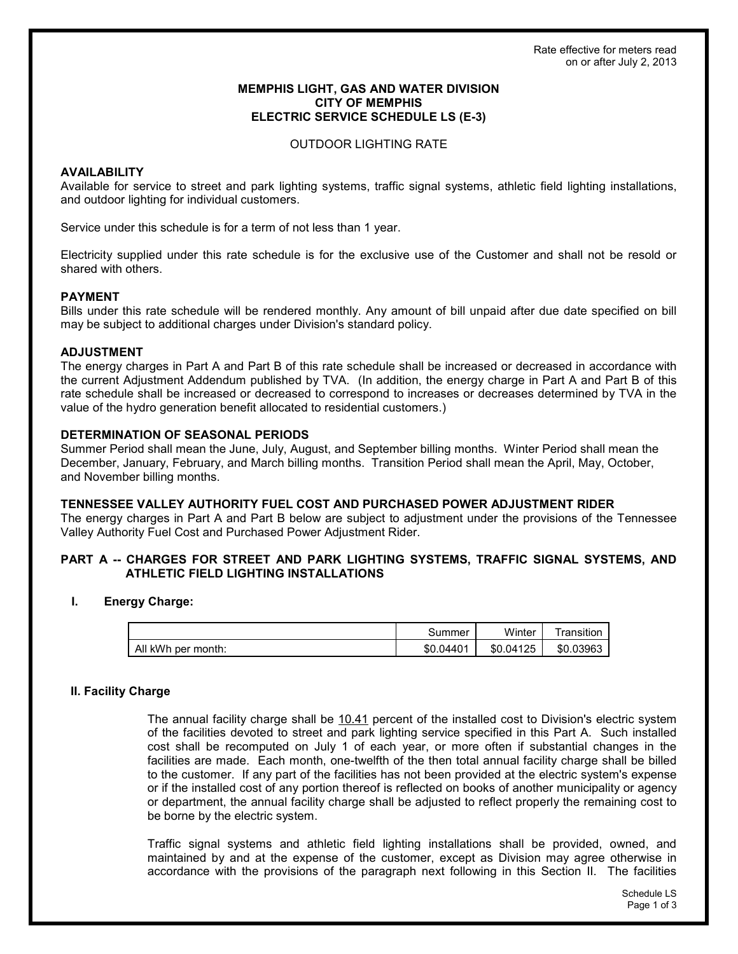## **MEMPHIS LIGHT, GAS AND WATER DIVISION CITY OF MEMPHIS ELECTRIC SERVICE SCHEDULE LS (E-3)**

#### **OUTDOOR LIGHTING RATE**

# **AVAILABILITY**

Available for service to street and park lighting systems, traffic signal systems, athletic field lighting installations, and outdoor lighting for individual customers.

Service under this schedule is for a term of not less than 1 year.

Electricity supplied under this rate schedule is for the exclusive use of the Customer and shall not be resold or shared with others.

## **PAYMENT**

Bills under this rate schedule will be rendered monthly. Any amount of bill unpaid after due date specified on bill may be subject to additional charges under Division's standard policy.

## **ADJUSTMENT**

The energy charges in Part A and Part B of this rate schedule shall be increased or decreased in accordance with the current Adjustment Addendum published by TVA. (In addition, the energy charge in Part A and Part B of this rate schedule shall be increased or decreased to correspond to increases or decreases determined by TVA in the value of the hydro generation benefit allocated to residential customers.)

## **DETERMINATION OF SEASONAL PERIODS**

Summer Period shall mean the June, July, August, and September billing months. Winter Period shall mean the December, January, February, and March billing months. Transition Period shall mean the April, May, October, and November billing months.

## TENNESSEE VALLEY AUTHORITY FUEL COST AND PURCHASED POWER ADJUSTMENT RIDER

The energy charges in Part A and Part B below are subject to adjustment under the provisions of the Tennessee Valley Authority Fuel Cost and Purchased Power Adjustment Rider.

# PART A -- CHARGES FOR STREET AND PARK LIGHTING SYSTEMS, TRAFFIC SIGNAL SYSTEMS, AND **ATHLETIC FIELD LIGHTING INSTALLATIONS**

#### L **Energy Charge:**

|                    | കummer         | Winter    | ransition |
|--------------------|----------------|-----------|-----------|
| All kWh per month: | 04401.<br>\$0. | \$0.04125 | \$0.03963 |

# II. Facility Charge

The annual facility charge shall be 10.41 percent of the installed cost to Division's electric system of the facilities devoted to street and park lighting service specified in this Part A. Such installed cost shall be recomputed on July 1 of each year, or more often if substantial changes in the facilities are made. Each month, one-twelfth of the then total annual facility charge shall be billed to the customer. If any part of the facilities has not been provided at the electric system's expense or if the installed cost of any portion thereof is reflected on books of another municipality or agency or department, the annual facility charge shall be adjusted to reflect properly the remaining cost to be borne by the electric system.

Traffic signal systems and athletic field lighting installations shall be provided, owned, and maintained by and at the expense of the customer, except as Division may agree otherwise in accordance with the provisions of the paragraph next following in this Section II. The facilities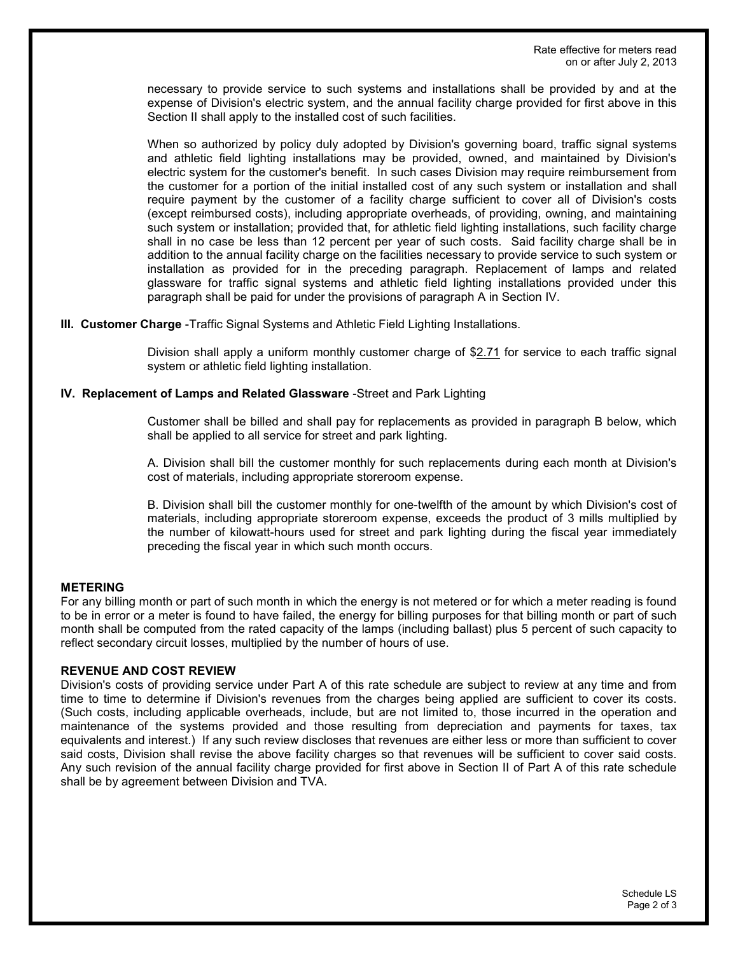necessary to provide service to such systems and installations shall be provided by and at the expense of Division's electric system, and the annual facility charge provided for first above in this Section II shall apply to the installed cost of such facilities.

When so authorized by policy duly adopted by Division's governing board, traffic signal systems and athletic field lighting installations may be provided, owned, and maintained by Division's electric system for the customer's benefit. In such cases Division may require reimbursement from the customer for a portion of the initial installed cost of any such system or installation and shall require payment by the customer of a facility charge sufficient to cover all of Division's costs (except reimbursed costs), including appropriate overheads, of providing, owning, and maintaining such system or installation; provided that, for athletic field lighting installations, such facility charge shall in no case be less than 12 percent per year of such costs. Said facility charge shall be in addition to the annual facility charge on the facilities necessary to provide service to such system or installation as provided for in the preceding paragraph. Replacement of lamps and related glassware for traffic signal systems and athletic field lighting installations provided under this paragraph shall be paid for under the provisions of paragraph A in Section IV.

III. Customer Charge - Traffic Signal Systems and Athletic Field Lighting Installations.

Division shall apply a uniform monthly customer charge of \$2.71 for service to each traffic signal system or athletic field lighting installation.

## IV. Replacement of Lamps and Related Glassware -Street and Park Lighting

Customer shall be billed and shall pay for replacements as provided in paragraph B below, which shall be applied to all service for street and park lighting.

A. Division shall bill the customer monthly for such replacements during each month at Division's cost of materials, including appropriate storeroom expense.

B. Division shall bill the customer monthly for one-twelfth of the amount by which Division's cost of materials, including appropriate storeroom expense, exceeds the product of 3 mills multiplied by the number of kilowatt-hours used for street and park lighting during the fiscal year immediately preceding the fiscal year in which such month occurs.

## **METERING**

For any billing month or part of such month in which the energy is not metered or for which a meter reading is found to be in error or a meter is found to have failed, the energy for billing purposes for that billing month or part of such month shall be computed from the rated capacity of the lamps (including ballast) plus 5 percent of such capacity to reflect secondary circuit losses, multiplied by the number of hours of use.

## **REVENUE AND COST REVIEW**

Division's costs of providing service under Part A of this rate schedule are subject to review at any time and from time to time to determine if Division's revenues from the charges being applied are sufficient to cover its costs. (Such costs, including applicable overheads, include, but are not limited to, those incurred in the operation and maintenance of the systems provided and those resulting from depreciation and payments for taxes, tax equivalents and interest.) If any such review discloses that revenues are either less or more than sufficient to cover said costs, Division shall revise the above facility charges so that revenues will be sufficient to cover said costs. Any such revision of the annual facility charge provided for first above in Section II of Part A of this rate schedule shall be by agreement between Division and TVA.